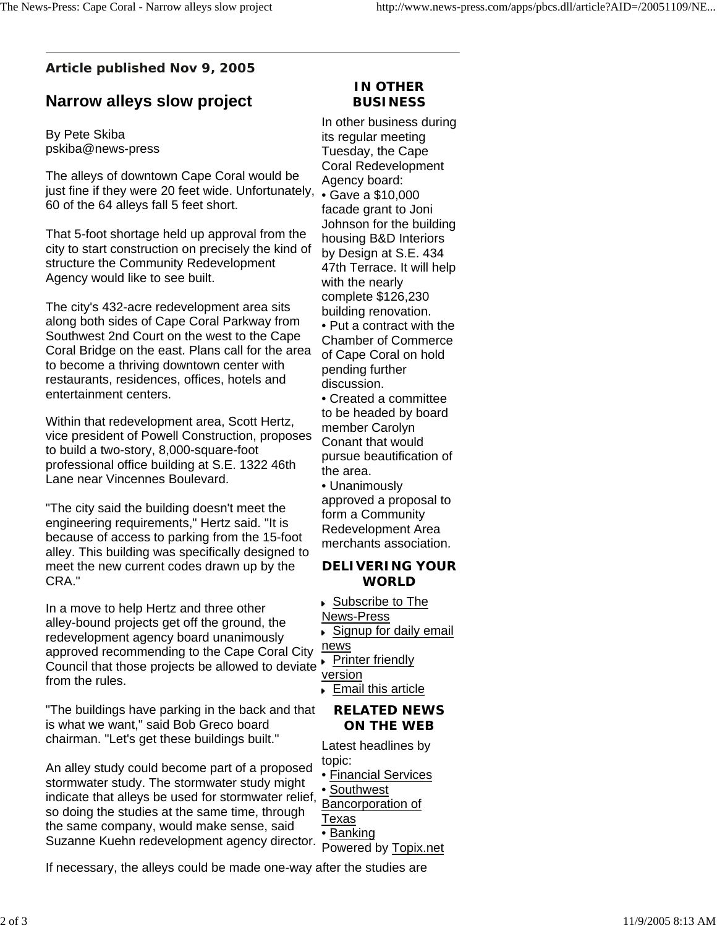## **Article published Nov 9, 2005**

# **Narrow alleys slow project**

By Pete Skiba pskiba@news-press

The alleys of downtown Cape Coral would be just fine if they were 20 feet wide. Unfortunately, 60 of the 64 alleys fall 5 feet short.

That 5-foot shortage held up approval from the city to start construction on precisely the kind of structure the Community Redevelopment Agency would like to see built.

The city's 432-acre redevelopment area sits along both sides of Cape Coral Parkway from Southwest 2nd Court on the west to the Cape Coral Bridge on the east. Plans call for the area to become a thriving downtown center with restaurants, residences, offices, hotels and entertainment centers.

Within that redevelopment area, Scott Hertz, vice president of Powell Construction, proposes to build a two-story, 8,000-square-foot professional office building at S.E. 1322 46th Lane near Vincennes Boulevard.

"The city said the building doesn't meet the engineering requirements," Hertz said. "It is because of access to parking from the 15-foot alley. This building was specifically designed to meet the new current codes drawn up by the CRA."

In a move to help Hertz and three other alley-bound projects get off the ground, the redevelopment agency board unanimously approved recommending to the Cape Coral City Council that those projects be allowed to deviate from the rules.

"The buildings have parking in the back and that is what we want," said Bob Greco board chairman. "Let's get these buildings built."

An alley study could become part of a proposed stormwater study. The stormwater study might indicate that alleys be used for stormwater relief, so doing the studies at the same time, through the same company, would make sense, said Suzanne Kuehn redevelopment agency director.

If necessary, the alleys could be made one-way after the studies are

### **IN OTHER BUSINESS**

In other business during its regular meeting Tuesday, the Cape Coral Redevelopment Agency board: • Gave a \$10,000 facade grant to Joni Johnson for the building housing B&D Interiors by Design at S.E. 434 47th Terrace. It will help with the nearly complete \$126,230 building renovation. • Put a contract with the Chamber of Commerce of Cape Coral on hold pending further discussion. • Created a committee

to be headed by board member Carolyn Conant that would pursue beautification of the area.

• Unanimously approved a proposal to form a Community Redevelopment Area merchants association.

#### **DELIVERING YOUR WORLD**

▶ Subscribe to The

News-Press

Signup for daily email news

**Printer friendly** 

version

Email this article

#### **RELATED NEWS ON THE WEB**

Latest headlines by topic:

- Financial Services
- Southwest

Bancorporation of Texas

# • Banking

Powered by Topix.net